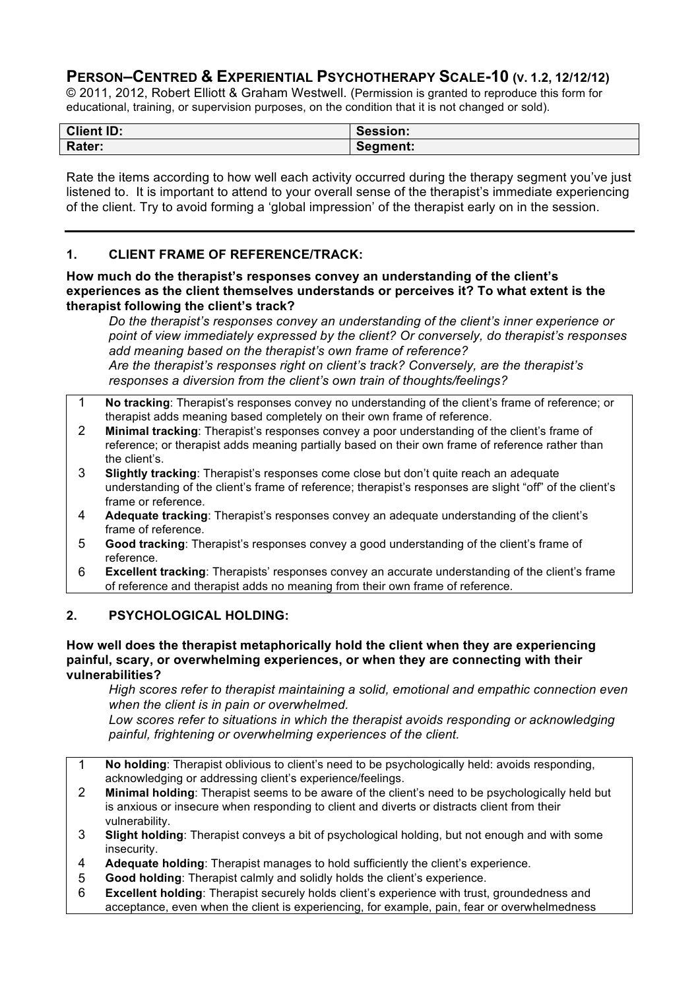# **PERSON–CENTRED & EXPERIENTIAL PSYCHOTHERAPY SCALE-10 (V. 1.2, 12/12/12)**

© 2011, 2012, Robert Elliott & Graham Westwell. (Permission is granted to reproduce this form for educational, training, or supervision purposes, on the condition that it is not changed or sold).

| <b>Client ID:</b> | Session: |
|-------------------|----------|
| Rater:            | Segment: |

Rate the items according to how well each activity occurred during the therapy segment you've just listened to. It is important to attend to your overall sense of the therapist's immediate experiencing of the client. Try to avoid forming a 'global impression' of the therapist early on in the session.

### **1. CLIENT FRAME OF REFERENCE/TRACK:**

### **How much do the therapist's responses convey an understanding of the client's experiences as the client themselves understands or perceives it? To what extent is the therapist following the client's track?**

*Do the therapist's responses convey an understanding of the client's inner experience or point of view immediately expressed by the client? Or conversely, do therapist's responses add meaning based on the therapist's own frame of reference? Are the therapist's responses right on client's track? Conversely, are the therapist's responses a diversion from the client's own train of thoughts/feelings?*

- 1 **No tracking**: Therapist's responses convey no understanding of the client's frame of reference; or therapist adds meaning based completely on their own frame of reference.
- 2 **Minimal tracking**: Therapist's responses convey a poor understanding of the client's frame of reference; or therapist adds meaning partially based on their own frame of reference rather than the client's.
- 3 **Slightly tracking**: Therapist's responses come close but don't quite reach an adequate understanding of the client's frame of reference; therapist's responses are slight "off" of the client's frame or reference.
- 4 **Adequate tracking**: Therapist's responses convey an adequate understanding of the client's frame of reference.
- 5 **Good tracking**: Therapist's responses convey a good understanding of the client's frame of reference.
- 6 **Excellent tracking**: Therapists' responses convey an accurate understanding of the client's frame of reference and therapist adds no meaning from their own frame of reference.

### **2. PSYCHOLOGICAL HOLDING:**

### **How well does the therapist metaphorically hold the client when they are experiencing painful, scary, or overwhelming experiences, or when they are connecting with their vulnerabilities?**

*High scores refer to therapist maintaining a solid, emotional and empathic connection even when the client is in pain or overwhelmed.*

*Low scores refer to situations in which the therapist avoids responding or acknowledging painful, frightening or overwhelming experiences of the client.*

- 1 **No holding**: Therapist oblivious to client's need to be psychologically held: avoids responding, acknowledging or addressing client's experience/feelings.
- 2 **Minimal holding**: Therapist seems to be aware of the client's need to be psychologically held but is anxious or insecure when responding to client and diverts or distracts client from their vulnerability.
- 3 **Slight holding**: Therapist conveys a bit of psychological holding, but not enough and with some insecurity.
- 4 **Adequate holding**: Therapist manages to hold sufficiently the client's experience.
- 5 **Good holding**: Therapist calmly and solidly holds the client's experience.
- 6 **Excellent holding**: Therapist securely holds client's experience with trust, groundedness and acceptance, even when the client is experiencing, for example, pain, fear or overwhelmedness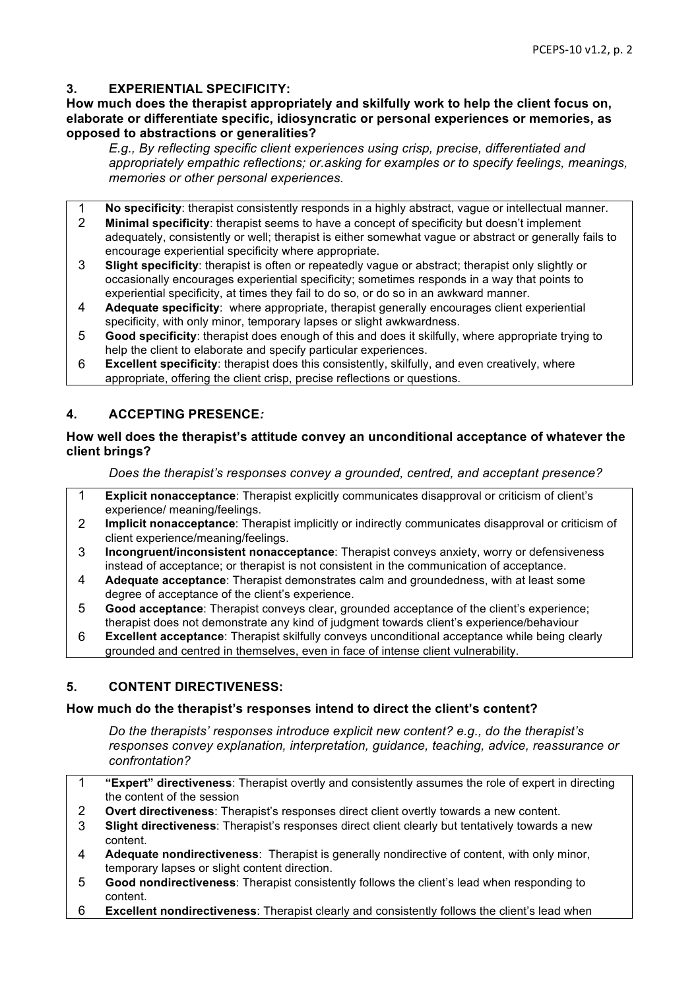### **3. EXPERIENTIAL SPECIFICITY:**

### **How much does the therapist appropriately and skilfully work to help the client focus on, elaborate or differentiate specific, idiosyncratic or personal experiences or memories, as opposed to abstractions or generalities?**

*E.g., By reflecting specific client experiences using crisp, precise, differentiated and appropriately empathic reflections; or.asking for examples or to specify feelings, meanings, memories or other personal experiences.*

1 **No specificity**: therapist consistently responds in a highly abstract, vague or intellectual manner.

- 2 **Minimal specificity**: therapist seems to have a concept of specificity but doesn't implement adequately, consistently or well; therapist is either somewhat vague or abstract or generally fails to encourage experiential specificity where appropriate.
- 3 **Slight specificity**: therapist is often or repeatedly vague or abstract; therapist only slightly or occasionally encourages experiential specificity; sometimes responds in a way that points to experiential specificity, at times they fail to do so, or do so in an awkward manner.
- 4 **Adequate specificity**: where appropriate, therapist generally encourages client experiential specificity, with only minor, temporary lapses or slight awkwardness.
- 5 **Good specificity**: therapist does enough of this and does it skilfully, where appropriate trying to help the client to elaborate and specify particular experiences.
- 6 **Excellent specificity**: therapist does this consistently, skilfully, and even creatively, where appropriate, offering the client crisp, precise reflections or questions.

### **4. ACCEPTING PRESENCE***:*

### **How well does the therapist's attitude convey an unconditional acceptance of whatever the client brings?**

*Does the therapist's responses convey a grounded, centred, and acceptant presence?*

- 1 **Explicit nonacceptance**: Therapist explicitly communicates disapproval or criticism of client's experience/ meaning/feelings.
- 2 **Implicit nonacceptance**: Therapist implicitly or indirectly communicates disapproval or criticism of client experience/meaning/feelings.
- 3 **Incongruent/inconsistent nonacceptance**: Therapist conveys anxiety, worry or defensiveness instead of acceptance; or therapist is not consistent in the communication of acceptance.
- 4 **Adequate acceptance**: Therapist demonstrates calm and groundedness, with at least some degree of acceptance of the client's experience.
- 5 **Good acceptance**: Therapist conveys clear, grounded acceptance of the client's experience; therapist does not demonstrate any kind of judgment towards client's experience/behaviour
- 6 **Excellent acceptance**: Therapist skilfully conveys unconditional acceptance while being clearly grounded and centred in themselves, even in face of intense client vulnerability.

### **5. CONTENT DIRECTIVENESS:**

### **How much do the therapist's responses intend to direct the client's content?**

*Do the therapists' responses introduce explicit new content? e.g., do the therapist's responses convey explanation, interpretation, guidance, teaching, advice, reassurance or confrontation?*

- 1 **"Expert" directiveness**: Therapist overtly and consistently assumes the role of expert in directing the content of the session
- 2 **Overt directiveness**: Therapist's responses direct client overtly towards a new content.
- 3 **Slight directiveness**: Therapist's responses direct client clearly but tentatively towards a new content.
- 4 **Adequate nondirectiveness**: Therapist is generally nondirective of content, with only minor, temporary lapses or slight content direction.
- 5 **Good nondirectiveness**: Therapist consistently follows the client's lead when responding to content.
- 6 **Excellent nondirectiveness**: Therapist clearly and consistently follows the client's lead when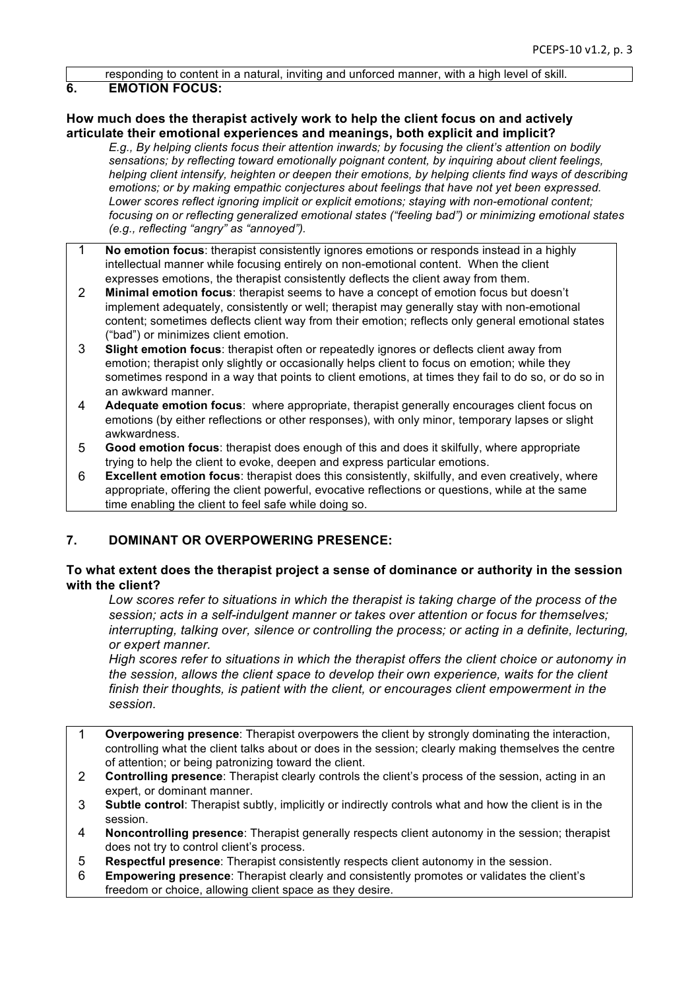responding to content in a natural, inviting and unforced manner, with a high level of skill.

### **6. EMOTION FOCUS:**

### **How much does the therapist actively work to help the client focus on and actively articulate their emotional experiences and meanings, both explicit and implicit?**

*E.g., By helping clients focus their attention inwards; by focusing the client's attention on bodily sensations; by reflecting toward emotionally poignant content, by inquiring about client feelings, helping client intensify, heighten or deepen their emotions, by helping clients find ways of describing emotions; or by making empathic conjectures about feelings that have not yet been expressed. Lower scores reflect ignoring implicit or explicit emotions; staying with non-emotional content; focusing on or reflecting generalized emotional states ("feeling bad") or minimizing emotional states (e.g., reflecting "angry" as "annoyed").*

- 1 **No emotion focus**: therapist consistently ignores emotions or responds instead in a highly intellectual manner while focusing entirely on non-emotional content. When the client expresses emotions, the therapist consistently deflects the client away from them.
- 2 **Minimal emotion focus**: therapist seems to have a concept of emotion focus but doesn't implement adequately, consistently or well; therapist may generally stay with non-emotional content; sometimes deflects client way from their emotion; reflects only general emotional states ("bad") or minimizes client emotion.
- 3 **Slight emotion focus**: therapist often or repeatedly ignores or deflects client away from emotion; therapist only slightly or occasionally helps client to focus on emotion; while they sometimes respond in a way that points to client emotions, at times they fail to do so, or do so in an awkward manner.
- 4 **Adequate emotion focus**: where appropriate, therapist generally encourages client focus on emotions (by either reflections or other responses), with only minor, temporary lapses or slight awkwardness.
- 5 **Good emotion focus**: therapist does enough of this and does it skilfully, where appropriate trying to help the client to evoke, deepen and express particular emotions.
- 6 **Excellent emotion focus**: therapist does this consistently, skilfully, and even creatively, where appropriate, offering the client powerful, evocative reflections or questions, while at the same time enabling the client to feel safe while doing so.

## **7. DOMINANT OR OVERPOWERING PRESENCE:**

### **To what extent does the therapist project a sense of dominance or authority in the session with the client?**

*Low scores refer to situations in which the therapist is taking charge of the process of the session; acts in a self-indulgent manner or takes over attention or focus for themselves; interrupting, talking over, silence or controlling the process; or acting in a definite, lecturing, or expert manner.*

*High scores refer to situations in which the therapist offers the client choice or autonomy in the session, allows the client space to develop their own experience, waits for the client finish their thoughts, is patient with the client, or encourages client empowerment in the session.*

- 1 **Overpowering presence**: Therapist overpowers the client by strongly dominating the interaction, controlling what the client talks about or does in the session; clearly making themselves the centre of attention; or being patronizing toward the client.
- 2 **Controlling presence**: Therapist clearly controls the client's process of the session, acting in an expert, or dominant manner.
- 3 **Subtle control**: Therapist subtly, implicitly or indirectly controls what and how the client is in the session.
- 4 **Noncontrolling presence**: Therapist generally respects client autonomy in the session; therapist does not try to control client's process.
- 5 **Respectful presence**: Therapist consistently respects client autonomy in the session.
- 6 **Empowering presence**: Therapist clearly and consistently promotes or validates the client's freedom or choice, allowing client space as they desire.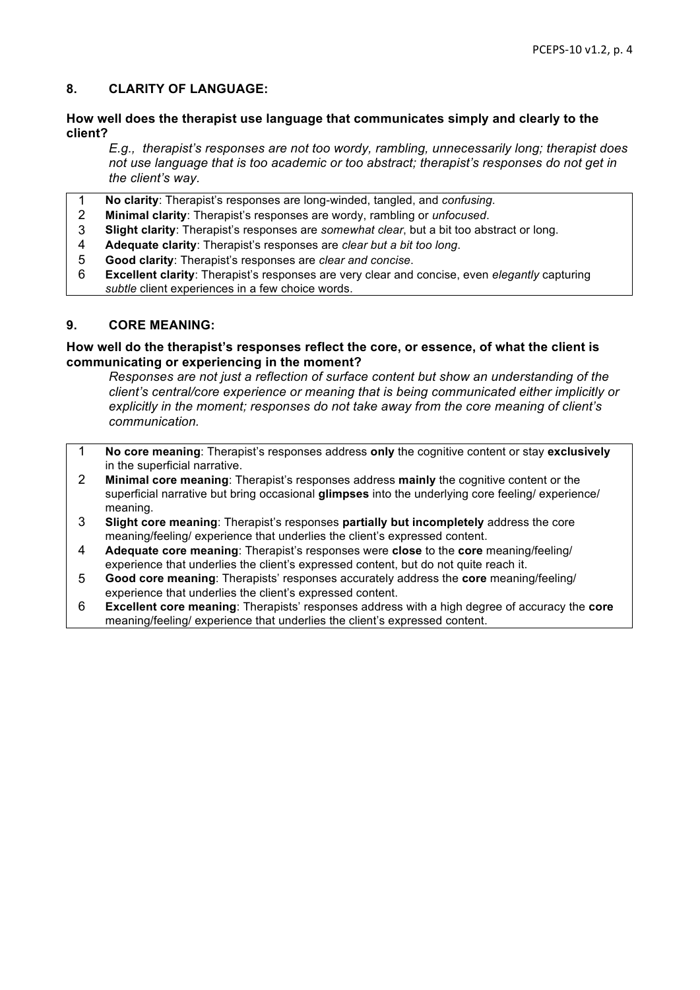### **8. CLARITY OF LANGUAGE:**

### **How well does the therapist use language that communicates simply and clearly to the client?**

*E.g., therapist's responses are not too wordy, rambling, unnecessarily long; therapist does not use language that is too academic or too abstract; therapist's responses do not get in the client's way.*

- 1 **No clarity**: Therapist's responses are long-winded, tangled, and *confusing*.
- 2 **Minimal clarity**: Therapist's responses are wordy, rambling or *unfocused*.
- 3 **Slight clarity**: Therapist's responses are *somewhat clear*, but a bit too abstract or long.
- 4 **Adequate clarity**: Therapist's responses are *clear but a bit too long*.
- 5 **Good clarity**: Therapist's responses are *clear and concise*.
- 6 **Excellent clarity**: Therapist's responses are very clear and concise, even *elegantly* capturing *subtle* client experiences in a few choice words.

### **9. CORE MEANING:**

#### **How well do the therapist's responses reflect the core, or essence, of what the client is communicating or experiencing in the moment?**

*Responses are not just a reflection of surface content but show an understanding of the client's central/core experience or meaning that is being communicated either implicitly or explicitly in the moment; responses do not take away from the core meaning of client's communication.*

- 1 **No core meaning**: Therapist's responses address **only** the cognitive content or stay **exclusively** in the superficial narrative.
- 2 **Minimal core meaning**: Therapist's responses address **mainly** the cognitive content or the superficial narrative but bring occasional **glimpses** into the underlying core feeling/ experience/ meaning.
- 3 **Slight core meaning**: Therapist's responses **partially but incompletely** address the core meaning/feeling/ experience that underlies the client's expressed content.
- 4 **Adequate core meaning**: Therapist's responses were **close** to the **core** meaning/feeling/ experience that underlies the client's expressed content, but do not quite reach it.
- 5 **Good core meaning**: Therapists' responses accurately address the **core** meaning/feeling/ experience that underlies the client's expressed content.
- 6 **Excellent core meaning**: Therapists' responses address with a high degree of accuracy the **core** meaning/feeling/ experience that underlies the client's expressed content.